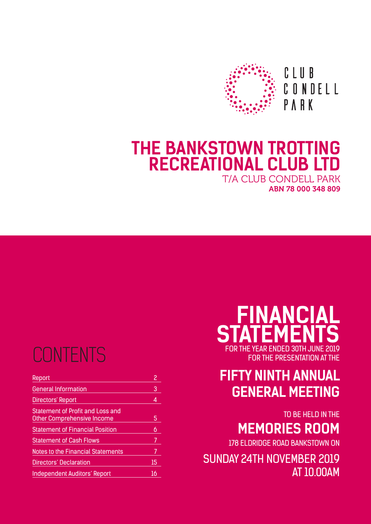

# **THE BANKSTOWN TROTTING RECREATIONAL CLUB LTD**

T/A CLUB CONDELL PARK ABN 78 000 348 809

# **CONTENTS**

| Report                                                                | 2  |
|-----------------------------------------------------------------------|----|
| <b>General Information</b>                                            | 3  |
| <b>Directors' Report</b>                                              | 4  |
| Statement of Profit and Loss and<br><b>Other Comprehensive Income</b> | 5  |
| <b>Statement of Financial Position</b>                                | 6  |
| <b>Statement of Cash Flows</b>                                        |    |
| <b>Notes to the Financial Statements</b>                              | 7  |
| Directors' Declaration                                                | 15 |
| <b>Independent Auditors' Report</b>                                   | 16 |

# **FINANCIAL STATEMENTS** FOR THE YEAR ENDED 30TH JUNE 2019

FOR THE PRESENTATION AT THE

## **FIFTY NINTH ANNUAL GENERAL MEETING**

TO BE HELD IN THE

## **MEMORIES ROOM**

178 ELDRIDGE ROAD BANKSTOWN ON

SUNDAY 24TH NOVEMBER 2019 AT 10.00AM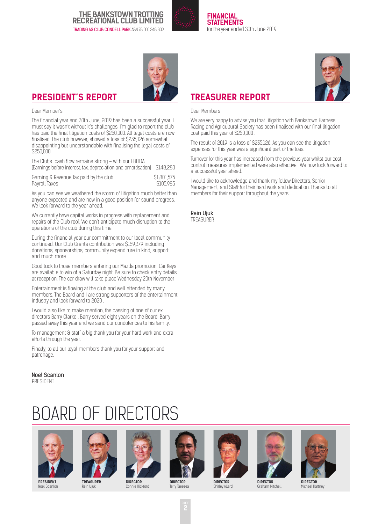

**FINANCIAL STATEMENTS**  for the year ended 30th June 2019



### **PRESIDENT'S REPORT**

#### Dear Member's

The financial year end 30th June, 2019 has been a successful year. I must say it wasn't without it's challenges. I'm glad to report the club has paid the final litigation costs of \$250,000. All legal costs are now finalised. The club however, showed a loss of \$235,126 somewhat disappointing but understandable with finalising the legal costs of \$250,000

The Clubs cash flow remains strong – with our EBITDA (Earnings before interest, tax, depreciation and amortisation) \$148,280

Gaming & Revenue Tax paid by the club \$1,801,575<br>Pavroll Taxes \$1,805,985 Payroll Taxes

As you can see we weathered the storm of litigation much better than anyone expected and are now in a good position for sound progress. We look forward to the year ahead.

We currently have capital works in progress with replacement and repairs of the Club roof. We don't anticipate much disruption to the operations of the club during this time.

During the financial year our commitment to our local community continued. Our Club Grants contribution was \$159,379 including donations, sponsorships, community expenditure in kind, support and much more.

Good luck to those members entering our Mazda promotion. Car Keys are available to win of a Saturday night. Be sure to check entry details at reception. The car draw will take place Wednesday 20th November

Entertainment is flowing at the club and well attended by many members. The Board and I are strong supporters of the entertainment industry and look forward to 2020 .

I would also like to make mention, the passing of one of our ex directors Barry Clarke . Barry served eight years on the Board. Barry passed away this year and we send our condolences to his family.

To management & staff a big thank you for your hard work and extra efforts through the year.

Finally, to all our loyal members thank you for your support and patronage.

Noel Scanlon PRESIDENT

# BOARD OF DIRECTORS



**PRESIDENT** Noel Scanlon



**TREASURER** Rein Ujuk



**DIRECTOR** Connie Hickford





Shirley Allard







**DIRECTOR** Michael Hartney



### **TREASURER REPORT**

Dear Members

We are very happy to advise you that litigation with Bankstown Harness Racing and Agricultural Society has been finalised with our final litigation cost paid this year of \$250,000 .

The result of 2019 is a loss of \$235,126. As you can see the litigation expenses for this year was a significant part of the loss.

Turnover for this year has increased from the previous year whilst our cost control measures implemented were also effective. We now look forward to a successful year ahead.

I would like to acknowledge and thank my fellow Directors, Senior Management, and Staff for their hard work and dedication. Thanks to all members for their support throughout the years.

Rein Ujuk TREASURER

**Terry Tae**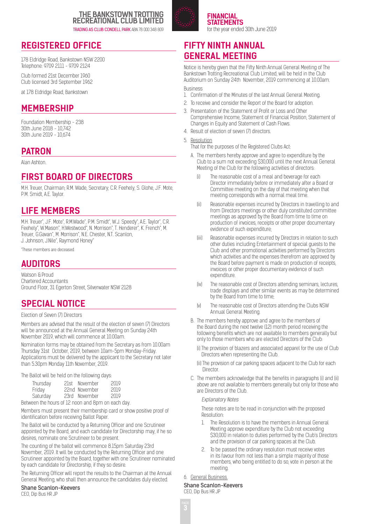

#### **FINANCIAL STATEMENTS**  for the year ended 30th June 2019

### **REGISTERED OFFICE**

178 Eldridge Road, Bankstown NSW 2200 Telephone: 9709 2111 - 9709 2124

Club formed 21st December 1960 Club licensed 3rd September 1962

at 178 Eldridge Road, Bankstown

### **MEMBERSHIP**

Foundation Membership - 238 30th June 2018 - 10,742 30th June 2019 - 10,674

### **PATRON**

Alan Ashton.

### **FIRST BOARD OF DIRECTORS**

M.H. Treuer, Chairman; R.M. Wade, Secretary; C.R. Feehely, S. Glohe, J.F. Mote, P.M. Smidt, A.E. Taylor.

### **LIFE MEMBERS**

M.H. Treuer\*, J.F. Mote\*, R.M.Wade\*, P.M. Smidt\*, W.J. Speedy\*, A.E. Taylor\*, C.R. Feehely\*, W.Mason\*, H.Westwood\*, N. Morrison\*, T. Henderer\*, K. French\*, M. Treuer, G.Gavan\*, M. Morrison\*, N.E. Chester, N.T. Scanlon, J. Johnson, J.Nile\*, Raymond Honey\*

\*These members are deceased.

### **AUDITORS**

Watson & Proud Chartered Accountants Ground Floor, 31 Egerton Street, Silverwater NSW 2128

### **SPECIAL NOTICE**

#### Election of Seven (7) Directors

Members are advised that the result of the election of seven (7) Directors will be announced at the Annual General Meeting on Sunday 24th November 2019, which will commence at 10.00am.

Nomination forms may be obtained from the Secretary as from 10.00am Thursday 31st October, 2019, between 10am-5pm Monday-Friday. Applications must be delivered by the applicant to the Secretary not later than 5.30pm Monday 11th November, 2019.

The Ballot will be held on the following days:

| Thursday                                          | 21st November | 2019 |
|---------------------------------------------------|---------------|------|
| Friday                                            | 22nd November | 2019 |
| Saturday                                          | 23rd November | 2010 |
| Between the hours of 12 noon and 8pm on each day. |               |      |

Members must present their membership card or show positive proof of identification before receiving Ballot Paper.

The Ballot will be conducted by a Returning Officer and one Scrutineer appointed by the Board, and each candidate for Directorship may, if he so desires, nominate one Scrutineer to be present.

The counting of the ballot will commence 8.15pm Saturday 23rd November, 2019. It will be conducted by the Returning Officer and one Scrutineer appointed by the Board, together with one Scrutineer nominated by each candidate for Directorship, if they so desire.

The Returning Officer will report the results to the Chairman at the Annual General Meeting, who shall then announce the candidates duly elected.

#### Shane Scanlon-Keevers

CEO, Dip Bus HR JP

### **FIFTY NINTH ANNUAL GENERAL MEETING**

Notice is hereby given that the Fifty Ninth Annual General Meeting of The Bankstown Trotting Recreational Club Limited, will be held in the Club Auditorium on Sunday 24th November, 2019 commencing at 10.00am. Business

1. Confirmation of the Minutes of the last Annual General Meeting.

- 2. To receive and consider the Report of the Board for adoption.
- 3. Presentation of the Statement of Profit or Loss and Other Comprehensive Income, Statement of Financial Position, Statement of Changes in Equity and Statement of Cash Flows.
- 4. Result of election of seven (7) directors.
- 5. Resolution
- That for the purposes of the Registered Clubs Act:
- A. The members hereby approve and agree to expenditure by the Club to a sum not exceeding \$30,000 until the next Annual General Meeting of the Club for the following activities of directors:
	- (i) The reasonable cost of a meal and beverage for each Director immediately before or immediately after a Board or Committee meeting on the day of that meeting when that meeting corresponds with a normal meal time.
	- (ii) Reasonable expenses incurred by Directors in travelling to and from Directors meetings or other duly constituted committee meetings as approved by the Board from time to time on production of invoices, receipts or other proper documentary evidence of such expenditure;
	- (iii) Reasonable expenses incurred by Directors in relation to such other duties including Entertainment of special guests to the Club and other promotional activities performed by Directors which activities and the expenses therefrom are approved by the Board before payment is made on production of receipts, invoices or other proper documentary evidence of such expenditure.
	- (iv) The reasonable cost of Directors attending seminars, lectures, trade displays and other similar events as may be determined by the Board from time to time;
	- (v) The reasonable cost of Directors attending the Clubs NSW Annual General Meeting.
- B. The members hereby approve and agree to the members of the Board during the next twelve (12) month period receiving the following benefits which are not available to members generally but only to those members who are elected Directors of the Club:
	- (i) The provision of blazers and associated apparel for the use of Club Directors when representing the Club.
	- (ii) The provision of car parking spaces adjacent to the Club for each **Director**
- C. The members acknowledge that the benefits in paragraphs (i) and (ii) above are not available to members generally but only for those who are Directors of the Club.

#### Explanatory Notes

These notes are to be read in conjunction with the proposed Resolution:

- 1. The Resolution is to have the members in Annual General Meeting approve expenditure by the Club not exceeding \$30,000 in relation to duties performed by the Club's Directors and the provision of car parking spaces at the Club.
- 2. To be passed the ordinary resolution must receive votes in its favour from not less than a simple majority of those members, who being entitled to do so, vote in person at the meeting.
- 6. General Business.

#### Shane Scanlon-Keevers CEO, Dip Bus HR JP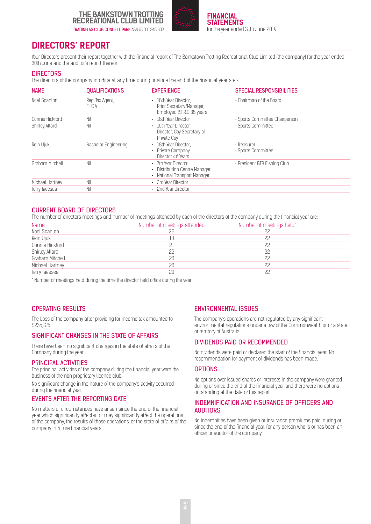

**FINANCIAL STATEMENTS**  for the year ended 30th June 2019

### **DIRECTORS' REPORT**

Your Directors present their report together with the financial report of The Bankstown Trotting Recreational Club Limited (the company) for the year ended 30th June and the auditor's report thereon.

#### **DIRECTORS**

The directors of the company in office at any time during or since the end of the financial year are:-

| <b>NAME</b>     | <b>QUALIFICATIONS</b>          | <b>EXPERIENCE</b>                                                                   | <b>SPECIAL RESPONSIBILITIES</b>   |
|-----------------|--------------------------------|-------------------------------------------------------------------------------------|-----------------------------------|
| Noel Scanlon    | Reg. Tax Agent,<br><b>FICA</b> | · 18th Year Director.<br>Prior Secretary/Manager,<br>Employed B.T.R.C 38 years      | . Chairman of the Board           |
| Connie Hickford | Nil                            | 18th Year Director<br>٠                                                             | • Sports Committee Chairperson    |
| Shirley Allard  | Nil                            | 10th Year Director<br>٠<br>Director, Coy Secretary of<br>Private Coy                | · Sports Committee                |
| Rein Ujuk       | Bachelor Engineering           | 18th Year Director.<br>٠<br>Private Company<br>Director 46 Years                    | · Treasurer<br>· Sports Committee |
| Graham Mitchell | Nil                            | 7th Year Director<br>٠<br>Distribution Centre Manager<br>National Transport Manager | • President BTR Fishing Club      |
| Michael Hartney | Nil                            | · 3rd Year Director                                                                 |                                   |
| Terry Taeesea   | Nil                            | • 2nd Year Director                                                                 |                                   |

#### CURRENT BOARD OF DIRECTORS

The number of directors meetings and number of meetings attended by each of the directors of the company during the financial year are:-

| <b>Name</b>     | Number of meetings attended | Number of meetings held* |  |
|-----------------|-----------------------------|--------------------------|--|
| Noel Scanlon    |                             |                          |  |
| Rein Ujuk       |                             |                          |  |
| Connie Hickford |                             | 22                       |  |
| Shirley Allard  |                             |                          |  |
| Graham Mitchell |                             | 22                       |  |
| Michael Hartney |                             | 22                       |  |
| Terry Taeesea   | 20                          | つつ                       |  |

\* Number of meetings held during the time the director held office during the year

#### OPERATING RESULTS

The Loss of the company after providing for income tax amounted to \$235,126.

#### SIGNIFICANT CHANGES IN THE STATE OF AFFAIRS

There have been no significant changes in the state of affairs of the Company during the year.

#### PRINCIPAL ACTIVITIES

The principal activities of the company during the financial year were the business of the non proprietary licence club.

No significant change in the nature of the company's activity occurred during the financial year.

#### EVENTS AFTER THE REPORTING DATE

No matters or circumstances have arisen since the end of the financial year which significantly affected or may significantly affect the operations of the company, the results of those operations, or the state of affairs of the company in future financial years.

#### ENVIRONMENTAL ISSUES

The company's operations are not regulated by any significant environmental regulations under a law of the Commonwealth or of a state or territory of Australia.

#### DIVIDENDS PAID OR RECOMMENDED

No dividends were paid or declared the start of the financial year. No recommendation for payment of dividends has been made.

#### **OPTIONS**

No options over issued shares or interests in the company were granted during or since the end of the financial year and there were no options outstanding at the date of this report.

#### INDEMNIFICATION AND INSURANCE OF OFFICERS AND AUDITORS

No indemnities have been given or insurance premiums paid, during or since the end of the financial year, for any person who is or has been an officer or auditor of the company.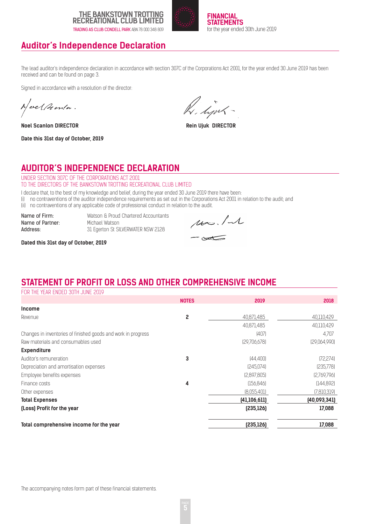



### **Auditor's Independence Declaration**

The lead auditor's independence declaration in accordance with section 307C of the Corporations Act 2001, for the year ended 30 June 2019 has been received and can be found on page 3.

Signed in accordance with a resolution of the director:

Neel Acenta.

**Noel Scanlon DIRECTOR Rein Ujuk DIRECTOR** 

**Date this 31st day of October, 2019**

K. lim

### **AUDITOR'S INDEPENDENCE DECLARATION**

UNDER SECTION 307C OF THE CORPORATIONS ACT 2001 TO THE DIRECTORS OF THE BANKSTOWN TROTTING RECREATIONAL CLUB LIMITED

I declare that, to the best of my knowledge and belief, during the year ended 30 June 2019 there have been:

(i) no contraventions of the auditor independence requirements as set out in the Corporations Act 2001 in relation to the audit; and

(ii) no contraventions of any applicable code of professional conduct in relation to the audit.

**Name of Partner:** Michael Watson<br> **Address:** 31 Foerton St SII

Name of Firm: Watson & Proud Chartered Accountants 31 Egerton St SILVERWATER NSW 2128

 $\mu$ ./1  $\infty$ 

**Dated this 31st day of October, 2019**

### **STATEMENT OF PROFIT OR LOSS AND OTHER COMPREHENSIVE INCOME**

FOR THE YEAR ENDED 30TH JUNE 2019

|                                                               | <b>NOTES</b> | 2019           | 2018          |
|---------------------------------------------------------------|--------------|----------------|---------------|
| <b>Income</b>                                                 |              |                |               |
| Revenue                                                       | 2            | 40,871,485     | 40,110,429    |
|                                                               |              | 40,871,485     | 40,110,429    |
| Changes in inventories of finished goods and work in progress |              | [407]          | 4,707         |
| Raw materials and consumables used                            |              | [29,706,678]   | [29,064,990]  |
| <b>Expenditure</b>                                            |              |                |               |
| Auditor's remuneration                                        | 3            | [44, 400]      | (72.274)      |
| Depreciation and amortisation expenses                        |              | [245.074]      | [235,778]     |
| Employee benefits expenses                                    |              | [2,897,805]    | [2,769,796]   |
| Finance costs                                                 | 4            | (156.846)      | [144, 892]    |
| Other expenses                                                |              | (8.055.401)    | (7, 810, 319) |
| <b>Total Expenses</b>                                         |              | (41, 106, 611) | (40,093,341)  |
| (Loss) Profit for the year                                    |              | [235, 126]     | 17,088        |
| Total comprehensive income for the year                       |              | (235, 126)     | 17,088        |

The accompanying notes form part of these financial statements.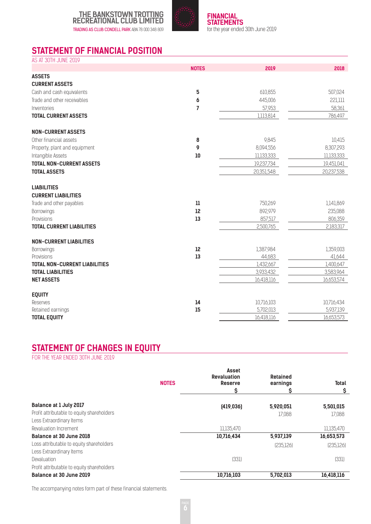



### **STATEMENT OF FINANCIAL POSITION**

| AS AT 30TH JUNE 2019                 |                |            |            |
|--------------------------------------|----------------|------------|------------|
|                                      | <b>NOTES</b>   | 2019       | 2018       |
| <b>ASSETS</b>                        |                |            |            |
| <b>CURRENT ASSETS</b>                |                |            |            |
| Cash and cash equivalents            | 5              | 610,855    | 507,024    |
| Trade and other receivables          | 6              | 445,006    | 221,111    |
| Inventories                          | $\overline{7}$ | 57,953     | 58,361     |
| <b>TOTAL CURRENT ASSETS</b>          |                | 1,113,814  | 786,497    |
| <b>NON-CURRENT ASSETS</b>            |                |            |            |
| Other financial assets               | 8              | 9,845      | 10,415     |
| Property, plant and equipment        | 9              | 8,094,556  | 8,307,293  |
| Intangible Assets                    | 10             | 11,133,333 | 11,133,333 |
| <b>TOTAL NON-CURRENT ASSETS</b>      |                | 19,237,734 | 19,451,041 |
| <b>TOTAL ASSETS</b>                  |                | 20,351,548 | 20,237,538 |
| <b>LIABILITIES</b>                   |                |            |            |
| <b>CURRENT LIABILITIES</b>           |                |            |            |
| Trade and other payables             | 11             | 750,269    | 1,141,869  |
| Borrowings                           | 12             | 892,979    | 235,088    |
| Provisions                           | 13             | 857,517    | 806,359    |
| <b>TOTAL CURRENT LIABILITIES</b>     |                | 2,500,765  | 2,183,317  |
| <b>NON-CURRENT LIABILITIES</b>       |                |            |            |
| <b>Borrowings</b>                    | 12             | 1,387,984  | 1,359,003  |
| Provisions                           | 13             | 44,683     | 41,644     |
| <b>TOTAL NON-CURRENT LIABILITIES</b> |                | 1,432,667  | 1,400,647  |
| <b>TOTAL LIABILITIES</b>             |                | 3,933,432  | 3,583,964  |
| <b>NET ASSETS</b>                    |                | 16,418,116 | 16,653,574 |
| <b>EQUITY</b>                        |                |            |            |
| Reserves                             | 14             | 10,716,103 | 10,716,434 |
| Retained earnings                    | 15             | 5,702,013  | 5,937,139  |
| <b>TOTAL EQUITY</b>                  |                | 16,418,116 | 16,653,573 |

### **STATEMENT OF CHANGES IN EQUITY**

FOR THE YEAR ENDED 30TH JUNE 2019

|                                                                                                         | <b>NOTES</b> | Asset<br><b>Revaluation</b><br><b>Reserve</b><br>\$ | <b>Retained</b><br>earnings<br>S | <b>Total</b><br>\$       |
|---------------------------------------------------------------------------------------------------------|--------------|-----------------------------------------------------|----------------------------------|--------------------------|
| <b>Balance at 1 July 2017</b><br>Profit attributable to equity shareholders<br>Less Extraordinary Items |              | [419.036]                                           | 5,920,051<br>17.088              | 5,501,015<br>17,088      |
| Revaluation Increment                                                                                   |              | 11,135,470                                          |                                  | 11,135,470               |
| Balance at 30 June 2018<br>Loss attributable to equity shareholders<br>Less Extraordinary Items         |              | 10,716,434                                          | 5,937,139<br>[235.126]           | 16,653,573<br>[235, 126] |
| Devaluation<br>Profit attributable to equity shareholders                                               |              | (331)                                               |                                  | (331)                    |
| Balance at 30 June 2019                                                                                 |              | 10,716,103                                          | 5,702,013                        | 16,418,116               |

The accompanying notes form part of these financial statements.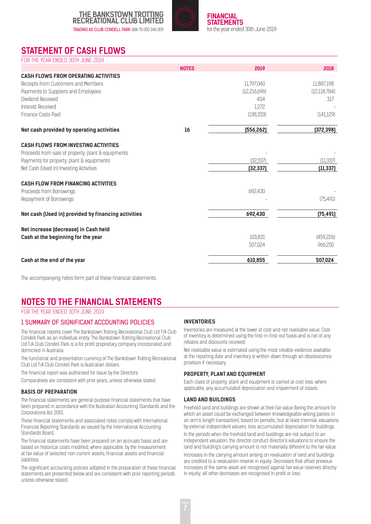

**FINANCIAL STATEMENTS**  for the year ended 30th June 2019

### **STATEMENT OF CASH FLOWS**

| FOR THE YEAR ENDED 30TH JUNE 2019                   |              |                |                |
|-----------------------------------------------------|--------------|----------------|----------------|
|                                                     | <b>NOTES</b> | 2019           | 2018           |
| <b>CASH FLOWS FROM OPERATING ACTIVITIES</b>         |              |                |                |
| Receipts from Customers and Members                 |              | 11,797,040     | 11,887,198     |
| Payments to Suppliers and Employees                 |              | [12, 216, 696] | [12, 118, 784] |
| Dividend Received                                   |              | 454            | 317            |
| Interest Received                                   |              | 1,272          |                |
| Finance Costs Paid                                  |              | [138, 333]     | [141, 129]     |
| Net cash provided by operating activities           | 16           | (556, 262)     | (372, 398)     |
| <b>CASH FLOWS FROM INVESTING ACTIVITIES</b>         |              |                |                |
| Proceeds from sale of property, plant & equipments  |              |                |                |
| Payments for property, plant & equipments           |              | (32, 337)      | [11, 337]      |
| Net Cash (Used in) Investing Activities             |              | (32, 337)      | (11, 337)      |
| <b>CASH FLOW FROM FINANCING ACTIVITIES</b>          |              |                |                |
| Proceeds from Borrowings                            |              | 692,430        |                |
| Repayment of Borrowings                             |              |                | (75, 491)      |
| Net cash (Used in) provided by financing activities |              | 692,430        | (75, 491)      |
| Net increase (decrease) in Cash held                |              |                |                |
| Cash at the beginning for the year                  |              | 103,831        | (459, 226)     |
|                                                     |              | 507.024        | 966,250        |
| Cash at the end of the year                         |              | 610,855        | 507,024        |

The accompanying notes form part of these financial statements.

### **NOTES TO THE FINANCIAL STATEMENTS**

FOR THE YEAR ENDED 30TH JUNE 2019

#### 1 SUMMARY OF SIGNIFICANT ACCOUNTING POLICIES

The financial reports cover The Bankstown Trotting Recreational Club Ltd T/A Club Condell Park as an individual entity. The Bankstown Trotting Recreational Club Ltd T/A Club Condell Park is a for profit proprietary company incorporated and domiciled in Australia.

The functional and presentation currency of The Bankstown Trotting Recreational Club Ltd T/A Club Condell Park is Australian dollars.

The financial report was authorised for issue by the Directors.

Comparatives are consistent with prior years, unless otherwise stated.

#### **BASIS OF PREPARATION**

The financial statements are general purpose financial statements that have been prepared in accordance with the Australian Accounting Standards and the Corporations Act 2001.

These financial statements and associated notes comply with International Financial Reporting Standards as issued by the International Accounting Standards Board.

The financial statements have been prepared on an accruals basis and are based on historical costs modified, where applicable, by the measurement at fair value of selected non current assets, financial assets and financial liabilities.

The significant accounting policies adopted in the preparation of these financial statements are presented below and are consistent with prior reporting periods unless otherwise stated.

#### **INVENTORIES**

Inventories are measured at the lower of cost and net realisable value. Cost of inventory is determined using the first-in-first-out basis and is net of any rebates and discounts received.

Net realisable value is estimated using the most reliable evidence available at the reporting date and inventory is written down through an obsolescence provision if necessary.

#### **PROPERTY, PLANT AND EQUIPMENT**

Each class of property, plant and equipment is carried at cost less. where applicable, any accumulated depreciation and impairment of losses.

#### **LAND AND BUILDINGS**

Freehold land and buildings are shown at their fair value (being the amount for which an asset could be exchanged between knowledgeable willing parties in an arm's length transaction), based on periodic, but at least triennial, valuations by external independent valuers, less accumulated depreciation for buildings. In the periods when the freehold land and buildings are not subject to an

independent valuation, the director conduct director's valuations to ensure the land and building's carrying amount is not materially different to the fair value. Increases in the carrying amount arising on revaluation of land and buildings are credited to a revaluation reserve in equity. Decreases that offset previous increases of the same asset are recognised against fair value reserves directly in equity; all other decreases are recognised in profit or loss.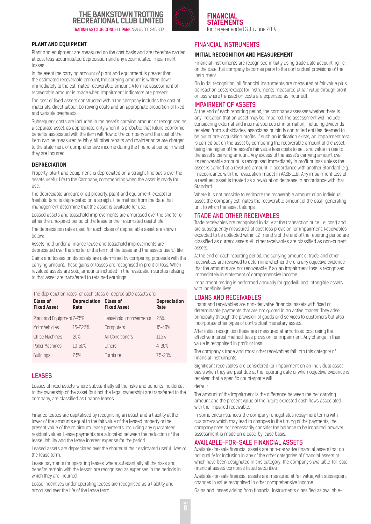

**FINANCIAL STATEMENTS**  for the year ended 30th June 2019

#### **PLANT AND EQUIPMENT**

Plant and equipment are measured on the cost basis and are therefore carried at cost less accumulated depreciation and any accumulated impairment losses.

In the event the carrying amount of plant and equipment is greater than the estimated recoverable amount, the carrying amount is written down immediately to the estimated recoverable amount. A formal assessment of recoverable amount is made when impairment indicators are present.

The cost of fixed assets constructed within the company includes the cost of materials, direct labour, borrowing costs and an appropriate proportion of fixed and variable overheads.

Subsequent costs are included in the asset's carrying amount or recognised as a separate asset, as appropriate, only when it is probable that future economic benefits associated with the item will flow to the company and the cost of the item can be measured reliably. All other repairs and maintenance are charged to the statement of comprehensive income during the financial period in which they are incurred.

#### **DEPRECIATION**

Property, plant and equipment, is depreciated on a straight line basis over the assets useful life to the Company, commencing when the asset is ready for use.

The depreciable amount of all property, plant and equipment, except for freehold land is depreciated on a straight line method from the date that management determine that the asset is available for use.

Leased assets and leasehold improvements are amortised over the shorter of either the unexpired period of the lease or their estimated useful life.

The depreciation rates used for each class of depreciable asset are shown below:

Assets held under a finance lease and leasehold improvements are depreciated over the shorter of the term of the lease and the assets useful life.

Gains and losses on disposals are determined by comparing proceeds with the carrying amount. These gains or losses are recognised in profit or loss. When revalued assets are sold, amounts included in the revaluation surplus relating to that asset are transferred to retained earnings.

The depreciation rates for each class of depreciable assets are:

| Class of<br><b>Fixed Asset</b> | Depreciation Class of<br>Rate | <b>Fixed Asset</b>     | <b>Depreciation</b><br>Rate |
|--------------------------------|-------------------------------|------------------------|-----------------------------|
| Plant and Equipment 7-25%      |                               | Leasehold Improvements | 2.5%                        |
| Motor Vehicles                 | 15-22.5%                      | Computers              | $15 - 40%$                  |
| Office Machines                | 20%                           | Air Conditioners       | 11.5%                       |
| Poker Machines                 | $10 - 50%$                    | Others                 | $4 - 30%$                   |
| <b>Buildings</b>               | 2.5%                          | <b>Furniture</b>       | 7.5-20%                     |

#### LEASES

Leases of fixed assets, where substantially all the risks and benefits incidental to the ownership of the asset (but not the legal ownership) are transferred to the company, are classified as finance leases.

Finance leases are capitalised by recognising an asset and a liability at the lower of the amounts equal to the fair value of the leased property or the present value of the minimum lease payments, including any guaranteed residual values. Lease payments are allocated between the reduction of the lease liability and the lease interest expense for the period.

Leased assets are depreciated over the shorter of their estimated useful lives or the lease term.

Lease payments for operating leases, where substantially all the risks and benefits remain with the lessor, are recognised as expenses in the periods in which they are incurred.

Lease incentives under operating leases are recognised as a liability and amortised over the life of the lease term.

#### FINANCIAL INSTRUMENTS

#### **INITIAL RECOGNITION AND MEASUREMENT**

Financial instruments are recognised initially using trade date accounting, i.e. on the date that company becomes party to the contractual provisions of the **instrument.** 

On initial recognition, all financial instruments are measured at fair value plus transaction costs (except for instruments measured at fair value through profit or loss where transaction costs are expensed as incurred).

#### IMPAIRMENT OF ASSETS

At the end of each reporting period, the company assesses whether there is any indication that an asset may be impaired. The assessment will include considering external and internal sources of information, including dividends received from subsidiaries, associates or jointly controlled entities deemed to be out of pre-acquisition profits. If such an indication exists, an impairment test is carried out on the asset by comparing the recoverable amount of the asset, being the higher of the asset's fair value less costs to sell and value in use to the asset's carrying amount. Any excess of the asset's carrying amount over its recoverable amount is recognised immediately in profit or loss unless the asset is carried at a revalued amount in accordance with another Standard (e.g. in accordance with the revaluation model in AASB 116). Any impairment loss of a revalued asset is treated as a revaluation decrease in accordance with that Standard.

Where it is not possible to estimate the recoverable amount of an individual asset, the company estimates the recoverable amount of the cash-generating unit to which the asset belongs.

#### TRADE AND OTHER RECEIVABLES

Trade receivables are recognised initially at the transaction price (i.e. cost) and are subsequently measured at cost less provision for impairment. Receivables expected to be collected within 12 months of the end of the reporting period are classified as current assets. All other receivables are classified as non-current assets.

At the end of each reporting period, the carrying amount of trade and other receivables are reviewed to determine whether there is any objective evidence that the amounts are not recoverable. If so, an impairment loss is recognised immediately in statement of comprehensive income.

Impairment testing is performed annually for goodwill and intangible assets with indefinite lives.

#### LOANS AND RECEIVABLES

Loans and receivables are non-derivative financial assets with fixed or determinable payments that are not quoted in an active market. They arise principally through the provision of goods and services to customers but also incorporate other types of contractual monetary assets.

After initial recognition these are measured at amortised cost using the effective interest method, less provision for impairment. Any change in their value is recognised in profit or loss.

The company's trade and most other receivables fall into this category of financial instruments.

Significant receivables are considered for impairment on an individual asset basis when they are past due at the reporting date or when objective evidence is received that a specific counterparty will

#### default.

The amount of the impairment is the difference between the net carrying amount and the present value of the future expected cash flows associated with the impaired receivable.

In some circumstances, the company renegotiates repayment terms with customers which may lead to changes in the timing of the payments, the company does not necessarily consider the balance to be impaired, however assessment is made on a case-by-case basis.

#### AVAILABLE-FOR-SALE FINANCIAL ASSETS

Available-for-sale financial assets are non-derivative financial assets that do not qualify for inclusion in any of the other categories of financial assets or which have been designated in this category. The company's available-for-sale financial assets comprise listed securities.

Available-for-sale financial assets are measured at fair value, with subsequent changes in value recognised in other comprehensive income.

Gains and losses arising from financial instruments classified as available-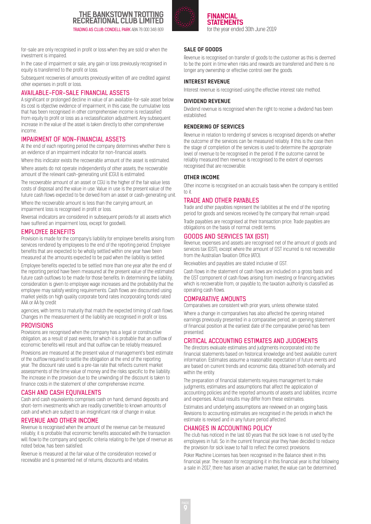

**FINANCIAL STATEMENTS**  for the year ended 30th June 2019

for-sale are only recognised in profit or loss when they are sold or when the investment is impaired.

In the case of impairment or sale, any gain or loss previously recognised in equity is transferred to the profit or loss.

Subsequent recoveries of amounts previously written off are credited against other expenses in profit or loss.

#### AVAILABLE-FOR-SALE FINANCIAL ASSETS

A significant or prolonged decline in value of an available-for-sale asset below its cost is objective evidence of impairment, in this case, the cumulative loss that has been recognised in other comprehensive income is reclassified from equity to profit or loss as a reclassification adjustment. Any subsequent increase in the value of the asset is taken directly to other comprehensive income.

#### IMPAIRMENT OF NON-FINANCIAL ASSETS

At the end of each reporting period the company determines whether there is an evidence of an impairment indicator for non-financial assets.

Where this indicator exists the recoverable amount of the asset is estimated. Where assets do not operate independently of other assets, the recoverable amount of the relevant cash-generating unit (CGU) is estimated.

The recoverable amount of an asset or CGU is the higher of the fair value less costs of disposal and the value in use. Value in use is the present value of the future cash flows expected to be derived from an asset or cash-generating unit.

Where the recoverable amount is less than the carrying amount, an impairment loss is recognised in profit or loss.

Reversal indicators are considered in subsequent periods for all assets which have suffered an impairment loss, except for goodwill.

#### EMPLOYEE BENEFITS

Provision is made for the company's liability for employee benefits arising from services rendered by employees to the end of the reporting period. Employee benefits that are expected to be wholly settled within one year have been measured at the amounts expected to be paid when the liability is settled.

Employee benefits expected to be settled more than one year after the end of the reporting period have been measured at the present value of the estimated future cash outflows to be made for those benefits. In determining the liability, consideration is given to employee wage increases and the probability that the employee may satisfy vesting requirements. Cash flows are discounted using market yields on high quality corporate bond rates incorporating bonds rated AAA or AA by credit

agencies, with terms to maturity that match the expected timing of cash flows. Changes in the measurement of the liability are recognised in profit or loss.

#### **PROVISIONS**

Provisions are recognised when the company has a legal or constructive obligation, as a result of past events, for which it is probable that an outflow of economic benefits will result and that outflow can be reliably measured.

Provisions are measured at the present value of management's best estimate of the outflow required to settle the obligation at the end of the reporting year. The discount rate used is a pre-tax rate that reflects current market assessments of the time value of money and the risks specific to the liability. The increase in the provision due to the unwinding of the discount is taken to finance costs in the statement of other comprehensive income.

#### CASH AND CASH EQUIVALENTS

Cash and cash equivalents comprises cash on hand, demand deposits and short-term investments which are readily convertible to known amounts of cash and which are subject to an insignificant risk of change in value.

#### REVENUE AND OTHER INCOME

Revenue is recognised when the amount of the revenue can be measured reliably, it is probable that economic benefits associated with the transaction will flow to the company and specific criteria relating to the type of revenue as noted below, has been satisfied.

Revenue is measured at the fair value of the consideration received or receivable and is presented net of returns, discounts and rebates.

#### **SALE OF GOODS**

Revenue is recognised on transfer of goods to the customer as this is deemed to be the point in time when risks and rewards are transferred and there is no longer any ownership or effective control over the goods.

#### **INTEREST REVENUE**

Interest revenue is recognised using the effective interest rate method.

#### **DIVIDEND REVENUE**

Dividend revenue is recognised when the right to receive a dividend has been established.

#### **RENDERING OF SERVICES**

Revenue in relation to rendering of services is recognised depends on whether the outcome of the services can be measured reliably. If this is the case then the stage of completion of the services is used to determine the appropriate level of revenue to be recognised in the period. If the outcome cannot be reliably measured then revenue is recognised to the extent of expenses recognised that are recoverable.

#### **OTHER INCOME**

Other income is recognised on an accruals basis when the company is entitled to it.

#### TRADE AND OTHER PAYABLES

Trade and other payables represent the liabilities at the end of the reporting period for goods and services received by the company that remain unpaid.

Trade payables are recognised at their transaction price. Trade payables are obligations on the basis of normal credit terms.

#### GOODS AND SERVICES TAX (GST)

Revenue, expenses and assets are recognised net of the amount of goods and services tax (GST), except where the amount of GST incurred is not recoverable from the Australian Taxation Office (ATO).

Receivables and payables are stated inclusive of GST.

Cash flows in the statement of cash flows are included on a gross basis and the GST component of cash flows arising from investing or financing activities which is recoverable from, or payable to, the taxation authority is classified as operating cash flows.

#### COMPARATIVE AMOUNTS

Comparatives are consistent with prior years, unless otherwise stated.

Where a change in comparatives has also affected the opening retained earnings previously presented in a comparative period, an opening statement of financial position at the earliest date of the comparative period has been presented.

#### CRITICAL ACCOUNTING ESTIMATES AND JUDGMENTS

The directors evaluate estimates and judgments incorporated into the financial statements based on historical knowledge and best available current information. Estimates assume a reasonable expectation of future events and are based on current trends and economic data, obtained both externally and within the entity.

The preparation of financial statements requires management to make judgments, estimates and assumptions that affect the application of accounting policies and the reported amounts of assets and liabilities, income and expenses. Actual results may differ from these estimates.

Estimates and underlying assumptions are reviewed on an ongoing basis. Revisions to accounting estimates are recognised in the periods in which the estimate is revised and in any future period affected.

#### CHANGES IN ACCOUNTING POLICY

The club has noticed in the last 60 years that the sick leave is not used by the employees in full. So in the current financial year they have decided to reduce the provision for sick leave to half to reflect the correct provisions.

Poker Machine Licenses has been recognised in the Balance sheet in this financial year. The reason for recognising it in this financial year is that following a sale in 2017, there has arisen an active market, the value can be determined.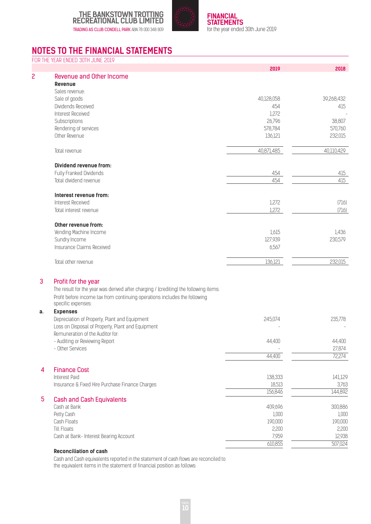



### **NOTES TO THE FINANCIAL STATEMENTS**

|    | FOR THE YEAR ENDED 30TH JUNE 2019                                                                                                                                                         | 2019       | 2018       |
|----|-------------------------------------------------------------------------------------------------------------------------------------------------------------------------------------------|------------|------------|
| 2  | <b>Revenue and Other Income</b>                                                                                                                                                           |            |            |
|    | Revenue                                                                                                                                                                                   |            |            |
|    | Sales revenue:                                                                                                                                                                            |            |            |
|    | Sale of goods                                                                                                                                                                             | 40,128,058 | 39,268,432 |
|    | Dividends Received                                                                                                                                                                        | 454        | 415        |
|    | Interest Received                                                                                                                                                                         | 1,272      |            |
|    | Subscriptions                                                                                                                                                                             | 26,796     | 38,807     |
|    | Rendering of services                                                                                                                                                                     | 578,784    | 570,760    |
|    | Other Revenue                                                                                                                                                                             | 136,121    | 232,015    |
|    | Total revenue                                                                                                                                                                             | 40,871,485 | 40,110,429 |
|    | Dividend revenue from:                                                                                                                                                                    |            |            |
|    | Fully Franked Dividends                                                                                                                                                                   | 454        | 415        |
|    | Total dividend revenue                                                                                                                                                                    | 454        | 415        |
|    | Interest revenue from:                                                                                                                                                                    |            |            |
|    | Interest Received                                                                                                                                                                         | 1,272      | (716)      |
|    | Total interest revenue                                                                                                                                                                    | 1,272      | (716)      |
|    | Other revenue from:                                                                                                                                                                       |            |            |
|    | Vending Machine Income                                                                                                                                                                    | 1,615      | 1,436      |
|    | Sundry Income                                                                                                                                                                             | 127,939    | 230,579    |
|    | Insurance Claims Received                                                                                                                                                                 | 6,567      |            |
|    | Total other revenue                                                                                                                                                                       | 136,121    | 232,015    |
| 3  | Profit for the year                                                                                                                                                                       |            |            |
|    | The result for the year was derived after charging / (crediting) the following items:<br>Profit before income tax from continuing operations includes the following<br>specific expenses: |            |            |
| a. | <b>Expenses</b>                                                                                                                                                                           |            |            |
|    | Depreciation of Property, Plant and Equipment                                                                                                                                             | 245,074    | 235,778    |
|    | Loss on Disposal of Property, Plant and Equipment                                                                                                                                         |            |            |
|    | Remuneration of the Auditor for:                                                                                                                                                          |            |            |
|    | - Auditing or Reviewing Report                                                                                                                                                            | 44,400     | 44,400     |
|    | - Other Services                                                                                                                                                                          |            | 27,874     |
|    |                                                                                                                                                                                           | 44,400     | 72,274     |
| 4  | <b>Finance Cost</b>                                                                                                                                                                       |            |            |
|    | Interest Paid                                                                                                                                                                             | 138,333    | 141,129    |
|    | Insurance & Fixed Hire Purchase Finance Charges                                                                                                                                           | 18,513     | 3,763      |
|    |                                                                                                                                                                                           | 156,846    | 144,892    |
| 5  | <b>Cash and Cash Equivalents</b>                                                                                                                                                          |            |            |
|    | Cash at Bank                                                                                                                                                                              | 409,696    | 300,886    |
|    | Petty Cash                                                                                                                                                                                | 1,000      | 1,000      |
|    | Cash Floats                                                                                                                                                                               | 190,000    | 190,000    |
|    | <b>Till Floats</b>                                                                                                                                                                        | 2,200      | 2,200      |
|    | Cash at Bank- Interest Bearing Account                                                                                                                                                    | 7,959      | 12,938     |
|    |                                                                                                                                                                                           | 610,855    | 507,024    |

#### **Reconciliation of cash**

Cash and Cash equivalents reported in the statement of cash flows are reconciled to the equivalent items in the statement of financial position as follows: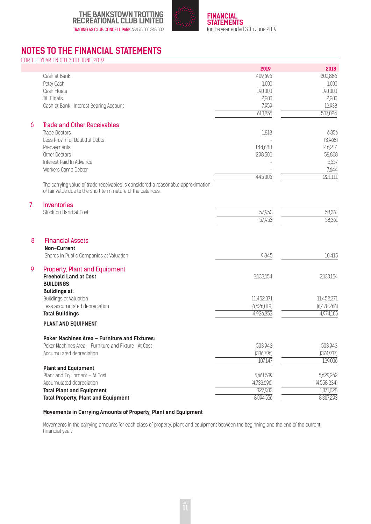



### **NOTES TO THE FINANCIAL STATEMENTS**

FOR THE YEAR ENDED 30TH JUNE 2019

|   |                                                                                                                  | 2019                | 2018        |
|---|------------------------------------------------------------------------------------------------------------------|---------------------|-------------|
|   | Cash at Bank                                                                                                     | 409,696             | 300,886     |
|   | Petty Cash                                                                                                       | 1,000               | 1,000       |
|   | Cash Floats                                                                                                      | 190,000             | 190,000     |
|   | <b>Till Floats</b>                                                                                               | 2,200               | 2,200       |
|   | Cash at Bank- Interest Bearing Account                                                                           | 7,959               | 12,938      |
|   |                                                                                                                  | 610,855             | 507,024     |
|   |                                                                                                                  |                     |             |
| 6 | <b>Trade and Other Receivables</b>                                                                               |                     |             |
|   | Trade Debtors                                                                                                    | 1,818               | 6,856       |
|   | Less Prov'n for Doubtful Debts                                                                                   |                     | (3,968)     |
|   | Prepayments                                                                                                      | 144,688             | 146,214     |
|   | Other Debtors                                                                                                    | 298,500             | 58,808      |
|   | Interest Paid In Advance                                                                                         |                     | 5,557       |
|   | Workers Comp Debtor                                                                                              |                     | 7,644       |
|   |                                                                                                                  | 445,006             | 221,111     |
|   | The carrying value of trade receivables is considered a reasonable approximation                                 |                     |             |
|   | of fair value due to the short term nature of the balances.                                                      |                     |             |
| 7 | Inventories                                                                                                      |                     |             |
|   | Stock on Hand at Cost                                                                                            | 57,953              | 58,361      |
|   |                                                                                                                  | $\overline{57,953}$ | 58,361      |
| 8 | <b>Financial Assets</b><br>Non-Current                                                                           |                     |             |
|   | Shares in Public Companies at Valuation                                                                          | 9,845               | 10,415      |
| 9 | <b>Property, Plant and Equipment</b><br><b>Freehold Land at Cost</b><br><b>BUILDINGS</b><br><b>Buildings at:</b> | 2,133,154           | 2,133,154   |
|   | Buildings at Valuation                                                                                           | 11,452,371          | 11,452,371  |
|   | Less accumulated depreciation                                                                                    | (6,526,019)         | (6,478,266) |
|   | <b>Total Buildings</b>                                                                                           | 4,926,352           | 4,974,105   |
|   | <b>PLANT AND EQUIPMENT</b>                                                                                       |                     |             |
|   | Poker Machines Area - Furniture and Fixtures:                                                                    |                     |             |
|   | Poker Machines Area - Furniture and Fixture- At Cost                                                             | 503,943             | 503,943     |
|   | Accumulated depreciation                                                                                         | [396,796]           | (374, 937)  |
|   |                                                                                                                  | 107,147             | 129,006     |
|   |                                                                                                                  |                     |             |
|   | <b>Plant and Equipment</b>                                                                                       |                     |             |
|   | Plant and Equipment - At Cost                                                                                    | 5,661,599           | 5,629,262   |
|   | Accumulated depreciation                                                                                         | [4,733,696]         | (4,558,234) |
|   | <b>Total Plant and Equipment</b>                                                                                 | 927,903             | 1,071,028   |
|   | <b>Total Property, Plant and Equipment</b>                                                                       | 8,094,556           | 8,307,293   |
|   |                                                                                                                  |                     |             |

#### **Movements in Carrying Amounts of Property, Plant and Equipment**

Movements in the carrying amounts for each class of property, plant and equipment between the beginning and the end of the current financial year.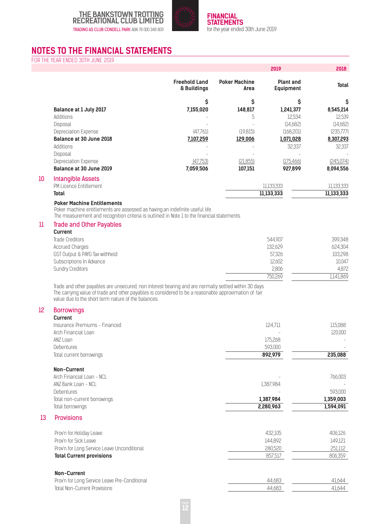



### **NOTES TO THE FINANCIAL STATEMENTS**

FOR THE YEAR ENDED 30TH JUNE 2019

|    |                               |                                     |                              | 2019                                 | 2018         |
|----|-------------------------------|-------------------------------------|------------------------------|--------------------------------------|--------------|
|    |                               | <b>Freehold Land</b><br>& Buildings | <b>Poker Machine</b><br>Area | <b>Plant and</b><br><b>Equipment</b> | <b>Total</b> |
|    |                               | \$                                  | Ś                            | \$                                   | \$           |
|    | <b>Balance at 1 July 2017</b> | 7,155,020                           | 148,817                      | 1,241,377                            | 8,545,214    |
|    | Additions                     |                                     | 5                            | 12,534                               | 12,539       |
|    | Disposal                      |                                     |                              | [14,682]                             | [14,682]     |
|    | Depreciation Expense          | [47,76]                             | (19, 815)                    | [168, 201]                           | [235,777]    |
|    | Balance at 30 June 2018       | 7,107,259                           | 129,006                      | 1,071,028                            | 8,307,293    |
|    | Additions                     |                                     |                              | 32,337                               | 32,337       |
|    | Disposal                      |                                     |                              |                                      |              |
|    | Depreciation Expense          | [47,753]                            | [21,855]                     | (175, 466)                           | [245,074]    |
|    | Balance at 30 June 2019       | 7,059,506                           | 107,151                      | 927,899                              | 8,094,556    |
| 10 | <b>Intangible Assets</b>      |                                     |                              |                                      |              |
|    | PM Licence Entitlement        |                                     |                              | 11,133,333                           | 11,133,333   |
|    | Total                         |                                     |                              | 11,133,333                           | 11,133,333   |

#### **Poker Machine Entitlements**

Poker machine entitlements are assessed as having an indefinite useful life.

The measurement and recognition criteria is outlined in Note 1 to the financial statements.

#### 11 Trade and Other Payables

| <b>Current</b>                 |         |          |
|--------------------------------|---------|----------|
| Trade Creditors                | 544.907 | 399,348  |
| Accrued Charges                | 132.629 | 624,304  |
| GST Output & PAYG Tax withheld | 57.326  | 103,298  |
| Subscriptions In Advance       | 12,602  | 10,047   |
| <b>Sundry Creditors</b>        | 2.806   | 4.872    |
|                                | 750.269 | 1141.869 |

Trade and other payables are unsecured, non interest bearing and are normally settled within 30 days. The carrying value of trade and other payables is considered to be a reasonable approximation of fair value due to the short term nature of the balances.

#### 12 Borrowings

|    | <b>Current</b>                                |           |           |
|----|-----------------------------------------------|-----------|-----------|
|    | Insurance Premiums - Financed                 | 124,711   | 115,088   |
|    | Arch Financial Loan                           |           | 120,000   |
|    | ANZ Loan                                      | 175,268   |           |
|    | Debentures                                    | 593,000   |           |
|    | Total current borrowings                      | 892,979   | 235,088   |
|    | Non-Current                                   |           |           |
|    | Arch Financial Loan - NCL                     |           | 766,003   |
|    | ANZ Bank Loan - NCL                           | 1,387,984 |           |
|    | <b>Debentures</b>                             |           | 593,000   |
|    | Total non-current borrowings                  | 1,387,984 | 1,359,003 |
|    | Total borrowings                              | 2,280,963 | 1,594,091 |
| 13 | <b>Provisions</b>                             |           |           |
|    | Prov'n for Holiday Leave                      | 432,105   | 406,126   |
|    | Prov'n for Sick Leave                         | 144,892   | 149,121   |
|    | Prov'n for Long Service Leave Unconditional   | 280,520   | 251,112   |
|    | <b>Total Current provisions</b>               | 857,517   | 806,359   |
|    | Non-Current                                   |           |           |
|    | Prov'n for Long Service Leave Pre-Conditional | 44,683    | 41,644    |
|    | <b>Total Non-Current Provisions</b>           | 44,683    | 41.644    |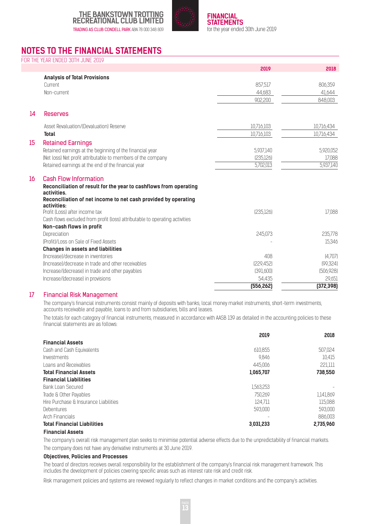



### **NOTES TO THE FINANCIAL STATEMENTS**

FOR THE YEAR ENDED 30TH JUNE 2019

|    |                                                                               | 2019       | 2018                    |
|----|-------------------------------------------------------------------------------|------------|-------------------------|
|    | <b>Analysis of Total Provisions</b>                                           |            |                         |
|    | Current                                                                       | 857,517    | 806,359                 |
|    | Non-current                                                                   | 44,683     | 41,644                  |
|    |                                                                               | 902,200    | 848,003                 |
| 14 | <b>Reserves</b>                                                               |            |                         |
|    | Asset Revaluation/(Devaluation) Reserve                                       | 10,716,103 | 10,716,434              |
|    | <b>Total</b>                                                                  | 10,716,103 | 10,716,434              |
| 15 | <b>Retained Earnings</b>                                                      |            |                         |
|    | Retained earnings at the beginning of the financial year                      | 5,937,140  | 5,920,052               |
|    | (Net loss) Net profit attributable to members of the company                  | [235, 126] | 17,088                  |
|    | Retained earnings at the end of the financial year                            | 5,702,013  | 5,937,140               |
| 16 | <b>Cash Flow Information</b>                                                  |            |                         |
|    | Reconciliation of result for the year to cashflows from operating             |            |                         |
|    | activities.<br>Reconciliation of net income to net cash provided by operating |            |                         |
|    | activities:                                                                   |            |                         |
|    | Profit (Loss) after income tax                                                | [235, 126] | 17,088                  |
|    | Cash flows excluded from profit (loss) attributable to operating activities   |            |                         |
|    | Non-cash flows in profit                                                      |            |                         |
|    | Depreciation                                                                  | 245,073    | 235,778                 |
|    | (Profit)/Loss on Sale of Fixed Assets                                         |            | 15,346                  |
|    | <b>Changes in assets and liabilities</b>                                      |            |                         |
|    | flncreasel/decrease in inventories                                            | 408        | (4,707)                 |
|    | fincreasel/decrease in trade and other receivables                            | [229,452]  | (99, 324)               |
|    | Increase/(decrease) in trade and other payables                               | (391,600)  | (506, 928)              |
|    | Increase/(decrease) in provisions                                             | 54,435     | 29,651                  |
|    |                                                                               | [556, 262] | $\overline{[372, 398]}$ |

#### 17 Financial Risk Management

 The company's financial instruments consist mainly of deposits with banks, local money market instruments, short-term investments, accounts receivable and payable, loans to and from subsidiaries, bills and leases.

 The totals for each category of financial instruments, measured in accordance with AASB 139 as detailed in the accounting policies to these financial statements are as follows:

|                                       | 2019      | 2018      |
|---------------------------------------|-----------|-----------|
| <b>Financial Assets</b>               |           |           |
| Cash and Cash Equivalents             | 610.855   | 507,024   |
| Investments                           | 9.846     | 10.415    |
| Loans and Receivables                 | 445,006   | 221111    |
| <b>Total Financial Assets</b>         | 1,065,707 | 738,550   |
| <b>Financial Liabilities</b>          |           |           |
| Bank Loan Secured                     | 1.563.253 |           |
| Trade & Other Payables                | 750.269   | 1141.869  |
| Hire Purchase & Insurance Liabilities | 124.711   | 115,088   |
| Debentures                            | 593,000   | 593.000   |
| Arch Financials                       |           | 886.003   |
| <b>Total Financial Liabilities</b>    | 3,031,233 | 2,735,960 |
| Financial Assata                      |           |           |

#### **Financial Assets**

The company's overall risk management plan seeks to minimise potential adverse effects due to the unpredictability of financial markets. The company does not have any derivative instruments at 30 June 2019.

#### **Objectives, Policies and Processes**

The board of directors receives overall responsibility for the establishment of the company's financial risk management framework. This includes the development of policies covering specific areas such as interest rate risk and credit risk.

Risk management policies and systems are reviewed regularly to reflect changes in market conditions and the company's activities.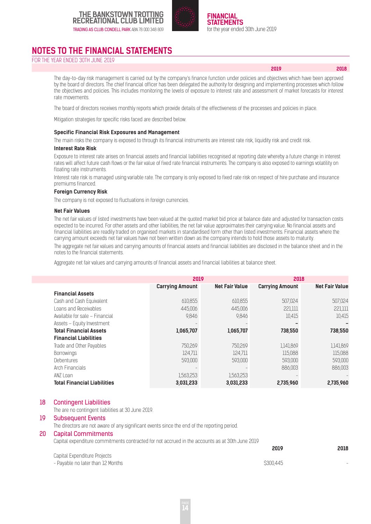



**2019 2018**

### **NOTES TO THE FINANCIAL STATEMENTS**

FOR THE YEAR ENDED 30TH JUNE 2019

The day-to-day risk management is carried out by the company's finance function under policies and objectives which have been approved by the board of directors. The chief financial officer has been delegated the authority for designing and implementing processes which follow the objectives and policies. This includes monitoring the levels of exposure to interest rate and assessment of market forecasts for interest rate movements.

The board of directors receives monthly reports which provide details of the effectiveness of the processes and policies in place.

Mitigation strategies for specific risks faced are described below.

#### **Specific Financial Risk Exposures and Management**

The main risks the company is exposed to through its financial instruments are interest rate risk, liquidity risk and credit risk. **Interest Rate Risk**

Exposure to interest rate arises on financial assets and financial liabilities recognised at reporting date whereby a future change in interest rates will affect future cash flows or the fair value of fixed rate financial instruments. The company is also exposed to earnings volatility on floating rate instruments.

Interest rate risk is managed using variable rate. The company is only exposed to fixed rate risk on respect of hire purchase and insurance premiums financed.

#### **Foreign Currency Risk**

The company is not exposed to fluctuations in foreign currencies.

#### **Net Fair Values**

 The net fair values of listed investments have been valued at the quoted market bid price at balance date and adjusted for transaction costs expected to be incurred. For other assets and other liabilities, the net fair value approximates their carrying value. No financial assets and financial liabilities are readily traded on organised markets in standardised form other than listed investments. Financial assets where the carrying amount exceeds net fair values have not been written down as the company intends to hold those assets to maturity.

 The aggregate net fair values and carrying amounts of financial assets and financial liabilities are disclosed in the balance sheet and in the notes to the financial statements.

Aggregate net fair values and carrying amounts of financial assets and financial liabilities at balance sheet.

|                                    | 2019                   |                       | 2018                   |                       |
|------------------------------------|------------------------|-----------------------|------------------------|-----------------------|
|                                    | <b>Carrying Amount</b> | <b>Net Fair Value</b> | <b>Carrying Amount</b> | <b>Net Fair Value</b> |
| <b>Financial Assets</b>            |                        |                       |                        |                       |
| Cash and Cash Equivalent           | 610.855                | 610.855               | 507.024                | 507.024               |
| Loans and Receivables              | 445,006                | 445,006               | 221,111                | 221,111               |
| Available for sale - Financial     | 9.846                  | 9.846                 | 10,415                 | 10,415                |
| Assets - Equity Investment         |                        |                       |                        |                       |
| <b>Total Financial Assets</b>      | 1,065,707              | 1,065,707             | 738,550                | 738,550               |
| <b>Financial Liabilities</b>       |                        |                       |                        |                       |
| Trade and Other Payables           | 750.269                | 750.269               | 1,141,869              | 1,141,869             |
| <b>Borrowings</b>                  | 124.711                | 124.711               | 115.088                | 115.088               |
| <b>Debentures</b>                  | 593,000                | 593,000               | 593,000                | 593,000               |
| Arch Financials                    |                        |                       | 886.003                | 886.003               |
| ANZ Loan                           | 1,563,253              | 1,563,253             |                        |                       |
| <b>Total Financial Liabilities</b> | 3.031.233              | 3.031.233             | 2,735,960              | 2.735.960             |

#### 18 Contingent Liabilities

The are no contingent liabilities at 30 June 2019.

#### 19 Subsequent Events

The directors are not aware of any significant events since the end of the reporting period.

#### 20 Capital Commitments

Capital expenditure commitments contracted for not accrued in the accounts as at 30th June 2019

|                                   | 2019      | 2018 |
|-----------------------------------|-----------|------|
| Capital Expenditure Projects      |           |      |
| - Payable no later than 12 Months | \$300.445 |      |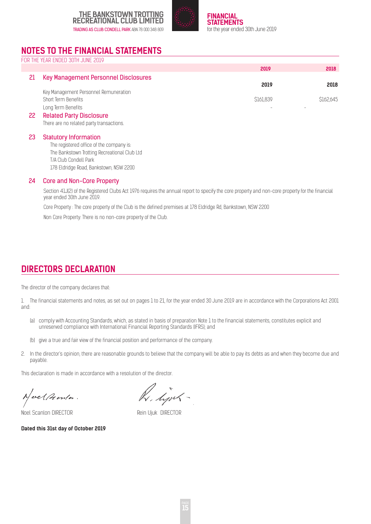



### **NOTES TO THE FINANCIAL STATEMENTS**

FOR THE YEAR ENDED 30TH JUNE 2019

|    |                                       | 2019             | 2018     |
|----|---------------------------------------|------------------|----------|
|    | Key Management Personnel Disclosures  |                  |          |
|    |                                       | 2019             | 2018     |
|    | Key Management Personnel Remuneration |                  |          |
|    | Short Term Benefits                   | <b>\$161,839</b> | S162.645 |
|    | Long Term Benefits                    |                  |          |
| 22 | <b>Related Party Disclosure</b>       |                  |          |

There are no related party transactions.

#### 23 Statutory Information

The registered office of the company is: The Bankstown Trotting Recreational Club Ltd T/A Club Condell Park 178 Eldridge Road, Bankstown, NSW 2200

#### 24 Core and Non-Core Property

Section 41J(2) of the Registered Clubs Act 1976 requires the annual report to specify the core property and non-core property for the financial year ended 30th June 2019.

Core Property : The core property of the Club is the defined premises at 178 Eldridge Rd, Bankstown, NSW 2200

Non Core Property: There is no non-core property of the Club.

### **DIRECTORS DECLARATION**

The director of the company declares that:

1. The financial statements and notes, as set out on pages 1 to 21, for the year ended 30 June 2019 are in accordance with the Corporations Act 2001 and:

- (a) comply with Accounting Standards, which, as stated in basis of preparation Note 1 to the financial statements, constitutes explicit and unreserved compliance with International Financial Reporting Standards (IFRS); and
- (b) give a true and fair view of the financial position and performance of the company.
- 2. In the director's opinion, there are reasonable grounds to believe that the company will be able to pay its debts as and when they become due and payable.

This declaration is made in accordance with a resolution of the director.

Neel Peenta.

Noel Scanlon DIRECTOR **Rein Ujuk DIRECTOR** 

R. Limb-

**Dated this 31st day of October 2019**